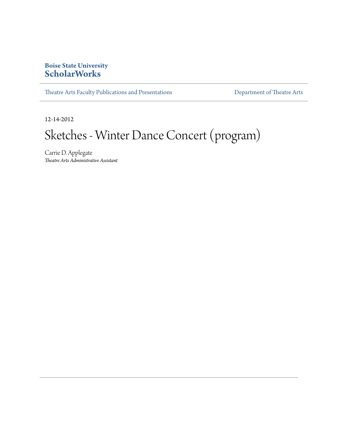## **Boise State University [ScholarWorks](http://scholarworks.boisestate.edu)**

[Theatre Arts Faculty Publications and Presentations](http://scholarworks.boisestate.edu/theatre_publications) **[Department of Theatre Arts](http://scholarworks.boisestate.edu/theatre)** 

12-14-2012

## Sketches - Winter Dance Concert (program)

Carrie D. Applegate *Theatre Arts Administrative Assistant*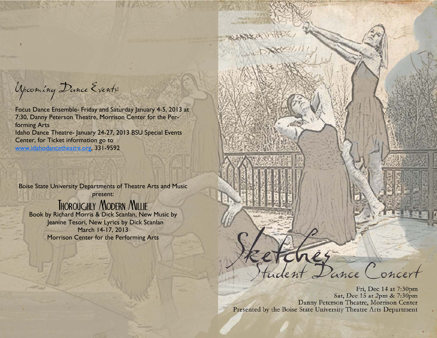Upcoming Dance Events:

Focus Dance Ensemble- Friday and Saturday January 4-5, 2013 at 7:30, Danny Peterson Theatre, Morrison Center for the Performing Arts Idaho Dance Theatre- January 24-27, 2013 BSU Special Events Center, for Ticket information go to www.idahodancetheatre.org, 331-9592

Boise State University Departments of Theatre Arts and Music present:

## Thoroughly Modern Millie

Book by Richard Morris & Dick Scanlan, New Music by Jeanine Tesori, New Lyrics by Dick Scanlan March 14-17, 2013 Morrison Center for the Performing Arts



Fri, Dec 14 at 7:30pm Sat, Dec 15 at 2pm & 7:30pm Danny Peterson Theatre, Morrison Center Presented by the Boise State University Theatre Arts Department